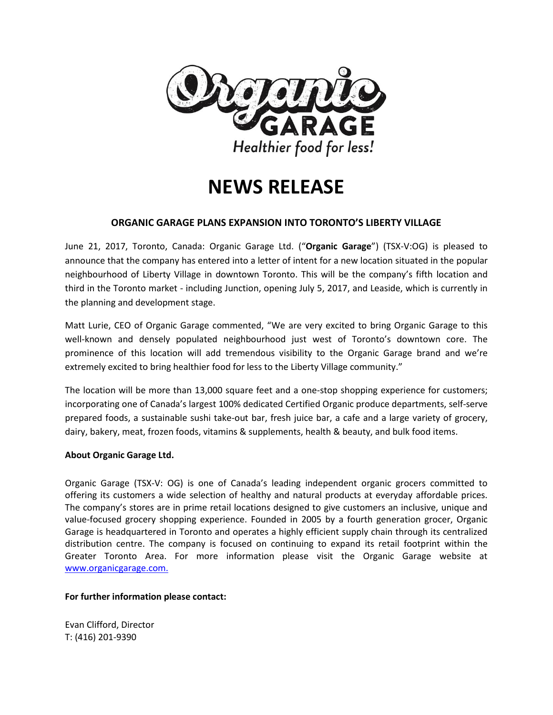

# **NEWS RELEASE**

## **ORGANIC GARAGE PLANS EXPANSION INTO TORONTO'S LIBERTY VILLAGE**

June 21, 2017, Toronto, Canada: Organic Garage Ltd. ("**Organic Garage**") (TSX-V:OG) is pleased to announce that the company has entered into a letter of intent for a new location situated in the popular neighbourhood of Liberty Village in downtown Toronto. This will be the company's fifth location and third in the Toronto market - including Junction, opening July 5, 2017, and Leaside, which is currently in the planning and development stage.

Matt Lurie, CEO of Organic Garage commented, "We are very excited to bring Organic Garage to this well-known and densely populated neighbourhood just west of Toronto's downtown core. The prominence of this location will add tremendous visibility to the Organic Garage brand and we're extremely excited to bring healthier food for less to the Liberty Village community."

The location will be more than 13,000 square feet and a one-stop shopping experience for customers; incorporating one of Canada's largest 100% dedicated Certified Organic produce departments, self-serve prepared foods, a sustainable sushi take-out bar, fresh juice bar, a cafe and a large variety of grocery, dairy, bakery, meat, frozen foods, vitamins & supplements, health & beauty, and bulk food items.

### **About Organic Garage Ltd.**

Organic Garage (TSX-V: OG) is one of Canada's leading independent organic grocers committed to offering its customers a wide selection of healthy and natural products at everyday affordable prices. The company's stores are in prime retail locations designed to give customers an inclusive, unique and value-focused grocery shopping experience. Founded in 2005 by a fourth generation grocer, Organic Garage is headquartered in Toronto and operates a highly efficient supply chain through its centralized distribution centre. The company is focused on continuing to expand its retail footprint within the Greater Toronto Area. For more information please visit the Organic Garage website at [www.organicgarage.com.](http://www.organicgarage.com/)

### **For further information please contact:**

Evan Clifford, Director T: (416) 201-9390